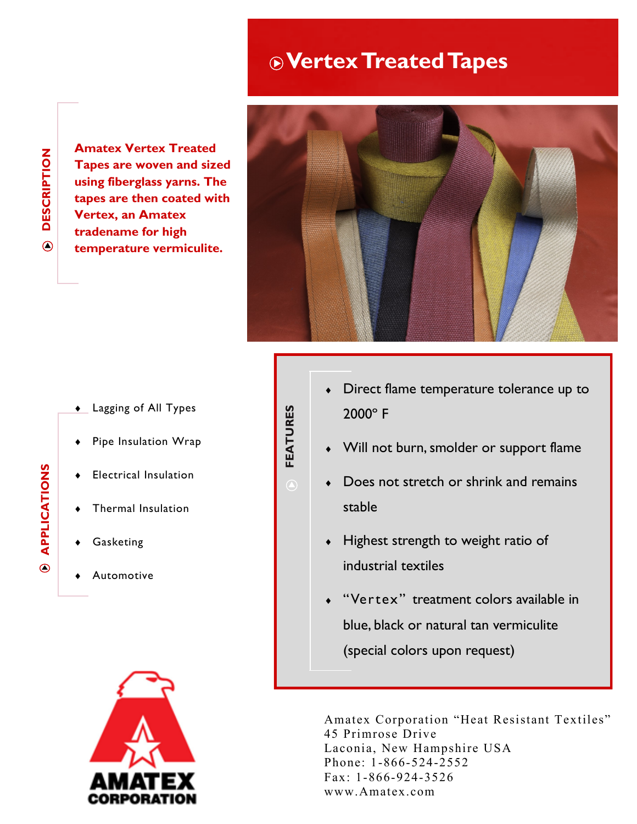## **Vertex Treated Tapes**

**DESCRIPTION DESCRIPTION**  $\bigcirc$ 

**Amatex Vertex Treated Tapes are woven and sized using fiberglass yarns. The tapes are then coated with Vertex, an Amatex tradename for high temperature vermiculite.** 



- **Lagging of All Types**
- Pipe Insulation Wrap

**FEATURES**

- Electrical Insulation
- Thermal Insulation
- Gasketing
- Automotive



- Direct flame temperature tolerance up to 2000º F
- Will not burn, smolder or support flame
- Does not stretch or shrink and remains stable
- Highest strength to weight ratio of industrial textiles
- "Vertex" treatment colors available in blue, black or natural tan vermiculite (special colors upon request)

Amatex Corporation "Heat Resistant Textiles" 45 Primrose Drive Laconia, New Hampshire USA Phone: 1-866-524-2552 Fax: 1-866-924-3526 www.Amatex.com

**APPLICATIONS APPLICATIONS**  $\circ$